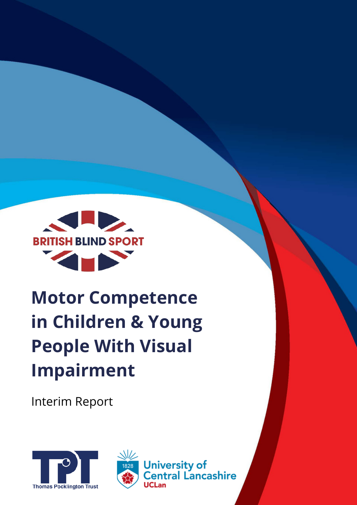

# **Motor Competence in Children & Young People With Visual Impairment**

Interim Report



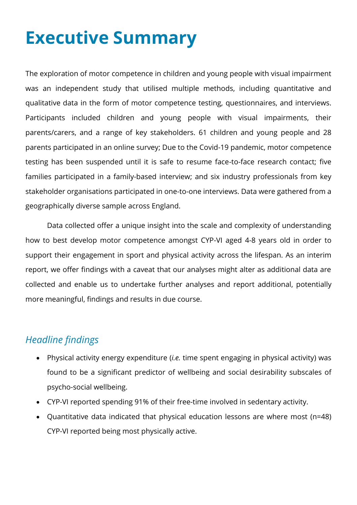# <span id="page-1-0"></span>**Executive Summary**

The exploration of motor competence in children and young people with visual impairment was an independent study that utilised multiple methods, including quantitative and qualitative data in the form of motor competence testing, questionnaires, and interviews. Participants included children and young people with visual impairments, their parents/carers, and a range of key stakeholders. 61 children and young people and 28 parents participated in an online survey; Due to the Covid-19 pandemic, motor competence testing has been suspended until it is safe to resume face-to-face research contact; five families participated in a family-based interview; and six industry professionals from key stakeholder organisations participated in one-to-one interviews. Data were gathered from a geographically diverse sample across England.

Data collected offer a unique insight into the scale and complexity of understanding how to best develop motor competence amongst CYP-VI aged 4-8 years old in order to support their engagement in sport and physical activity across the lifespan. As an interim report, we offer findings with a caveat that our analyses might alter as additional data are collected and enable us to undertake further analyses and report additional, potentially more meaningful, findings and results in due course.

### <span id="page-1-1"></span>*Headline findings*

- Physical activity energy expenditure (*i.e.* time spent engaging in physical activity) was found to be a significant predictor of wellbeing and social desirability subscales of psycho-social wellbeing.
- CYP-VI reported spending 91% of their free-time involved in sedentary activity.
- Quantitative data indicated that physical education lessons are where most (n=48) CYP-VI reported being most physically active.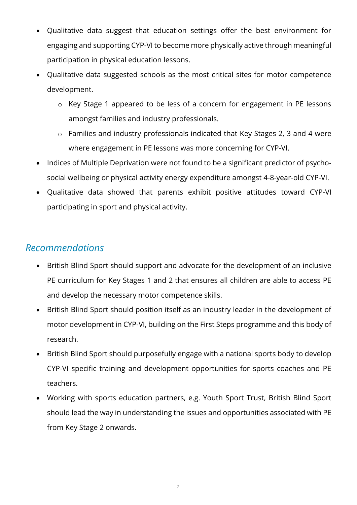- Qualitative data suggest that education settings offer the best environment for engaging and supporting CYP-VI to become more physically active through meaningful participation in physical education lessons.
- Qualitative data suggested schools as the most critical sites for motor competence development.
	- o Key Stage 1 appeared to be less of a concern for engagement in PE lessons amongst families and industry professionals.
	- o Families and industry professionals indicated that Key Stages 2, 3 and 4 were where engagement in PE lessons was more concerning for CYP-VI.
- Indices of Multiple Deprivation were not found to be a significant predictor of psychosocial wellbeing or physical activity energy expenditure amongst 4-8-year-old CYP-VI.
- Qualitative data showed that parents exhibit positive attitudes toward CYP-VI participating in sport and physical activity.

### <span id="page-2-0"></span>*Recommendations*

- British Blind Sport should support and advocate for the development of an inclusive PE curriculum for Key Stages 1 and 2 that ensures all children are able to access PE and develop the necessary motor competence skills.
- British Blind Sport should position itself as an industry leader in the development of motor development in CYP-VI, building on the First Steps programme and this body of research.
- British Blind Sport should purposefully engage with a national sports body to develop CYP-VI specific training and development opportunities for sports coaches and PE teachers.
- Working with sports education partners, e.g. Youth Sport Trust, British Blind Sport should lead the way in understanding the issues and opportunities associated with PE from Key Stage 2 onwards.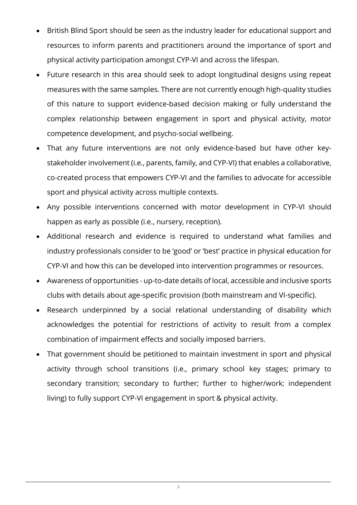- British Blind Sport should be seen as the industry leader for educational support and resources to inform parents and practitioners around the importance of sport and physical activity participation amongst CYP-VI and across the lifespan.
- Future research in this area should seek to adopt longitudinal designs using repeat measures with the same samples. There are not currently enough high-quality studies of this nature to support evidence-based decision making or fully understand the complex relationship between engagement in sport and physical activity, motor competence development, and psycho-social wellbeing.
- That any future interventions are not only evidence-based but have other keystakeholder involvement (i.e., parents, family, and CYP-VI) that enables a collaborative, co-created process that empowers CYP-VI and the families to advocate for accessible sport and physical activity across multiple contexts.
- Any possible interventions concerned with motor development in CYP-VI should happen as early as possible (i.e., nursery, reception).
- Additional research and evidence is required to understand what families and industry professionals consider to be 'good' or 'best' practice in physical education for CYP-VI and how this can be developed into intervention programmes or resources.
- Awareness of opportunities up-to-date details of local, accessible and inclusive sports clubs with details about age-specific provision (both mainstream and VI-specific).
- Research underpinned by a social relational understanding of disability which acknowledges the potential for restrictions of activity to result from a complex combination of impairment effects and socially imposed barriers.
- That government should be petitioned to maintain investment in sport and physical activity through school transitions (i.e., primary school key stages; primary to secondary transition; secondary to further; further to higher/work; independent living) to fully support CYP-VI engagement in sport & physical activity.

3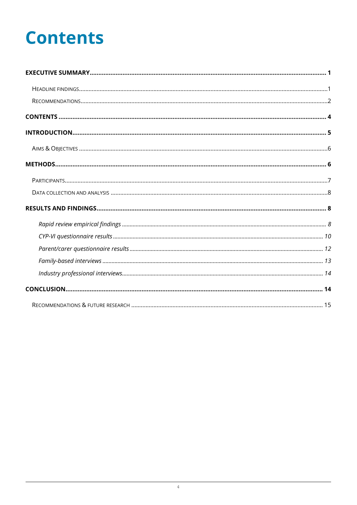# <span id="page-4-0"></span>**Contents**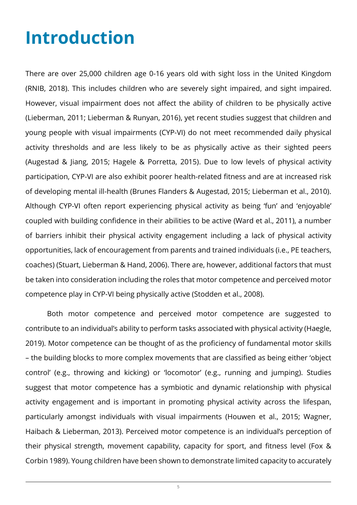## <span id="page-5-0"></span>**Introduction**

There are over 25,000 children age 0-16 years old with sight loss in the United Kingdom (RNIB, 2018). This includes children who are severely sight impaired, and sight impaired. However, visual impairment does not affect the ability of children to be physically active (Lieberman, 2011; Lieberman & Runyan, 2016), yet recent studies suggest that children and young people with visual impairments (CYP-VI) do not meet recommended daily physical activity thresholds and are less likely to be as physically active as their sighted peers (Augestad & Jiang, 2015; Hagele & Porretta, 2015). Due to low levels of physical activity participation, CYP-VI are also exhibit poorer health-related fitness and are at increased risk of developing mental ill-health (Brunes Flanders & Augestad, 2015; Lieberman et al., 2010). Although CYP-VI often report experiencing physical activity as being 'fun' and 'enjoyable' coupled with building confidence in their abilities to be active (Ward et al., 2011), a number of barriers inhibit their physical activity engagement including a lack of physical activity opportunities, lack of encouragement from parents and trained individuals (i.e., PE teachers, coaches) (Stuart, Lieberman & Hand, 2006). There are, however, additional factors that must be taken into consideration including the roles that motor competence and perceived motor competence play in CYP-VI being physically active (Stodden et al., 2008).

Both motor competence and perceived motor competence are suggested to contribute to an individual's ability to perform tasks associated with physical activity (Haegle, 2019). Motor competence can be thought of as the proficiency of fundamental motor skills – the building blocks to more complex movements that are classified as being either 'object control' (e.g., throwing and kicking) or 'locomotor' (e.g., running and jumping). Studies suggest that motor competence has a symbiotic and dynamic relationship with physical activity engagement and is important in promoting physical activity across the lifespan, particularly amongst individuals with visual impairments (Houwen et al., 2015; Wagner, Haibach & Lieberman, 2013). Perceived motor competence is an individual's perception of their physical strength, movement capability, capacity for sport, and fitness level (Fox & Corbin 1989). Young children have been shown to demonstrate limited capacity to accurately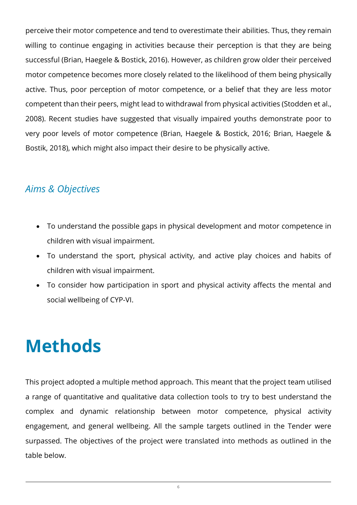perceive their motor competence and tend to overestimate their abilities. Thus, they remain willing to continue engaging in activities because their perception is that they are being successful (Brian, Haegele & Bostick, 2016). However, as children grow older their perceived motor competence becomes more closely related to the likelihood of them being physically active. Thus, poor perception of motor competence, or a belief that they are less motor competent than their peers, might lead to withdrawal from physical activities (Stodden et al., 2008). Recent studies have suggested that visually impaired youths demonstrate poor to very poor levels of motor competence (Brian, Haegele & Bostick, 2016; Brian, Haegele & Bostik, 2018), which might also impact their desire to be physically active.

### <span id="page-6-0"></span>*Aims & Objectives*

- To understand the possible gaps in physical development and motor competence in children with visual impairment.
- To understand the sport, physical activity, and active play choices and habits of children with visual impairment.
- To consider how participation in sport and physical activity affects the mental and social wellbeing of CYP-VI.

# <span id="page-6-1"></span>**Methods**

This project adopted a multiple method approach. This meant that the project team utilised a range of quantitative and qualitative data collection tools to try to best understand the complex and dynamic relationship between motor competence, physical activity engagement, and general wellbeing. All the sample targets outlined in the Tender were surpassed. The objectives of the project were translated into methods as outlined in the table below.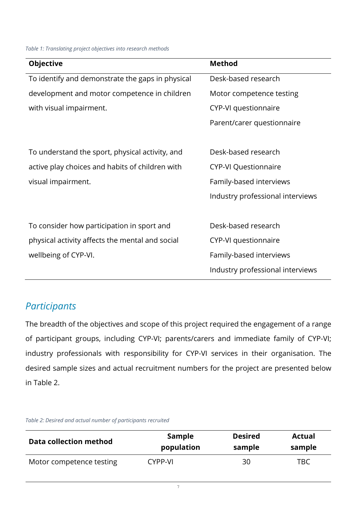#### *Table 1: Translating project objectives into research methods*

| <b>Objective</b>                                 | <b>Method</b>                    |  |
|--------------------------------------------------|----------------------------------|--|
| To identify and demonstrate the gaps in physical | Desk-based research              |  |
| development and motor competence in children     | Motor competence testing         |  |
| with visual impairment.                          | CYP-VI questionnaire             |  |
|                                                  | Parent/carer questionnaire       |  |
|                                                  |                                  |  |
| To understand the sport, physical activity, and  | Desk-based research              |  |
| active play choices and habits of children with  | <b>CYP-VI Questionnaire</b>      |  |
| visual impairment.                               | Family-based interviews          |  |
|                                                  | Industry professional interviews |  |
|                                                  |                                  |  |
| To consider how participation in sport and       | Desk-based research              |  |
| physical activity affects the mental and social  | CYP-VI questionnaire             |  |
| wellbeing of CYP-VI.                             | Family-based interviews          |  |
|                                                  | Industry professional interviews |  |

### <span id="page-7-0"></span>*Participants*

The breadth of the objectives and scope of this project required the engagement of a range of participant groups, including CYP-VI; parents/carers and immediate family of CYP-VI; industry professionals with responsibility for CYP-VI services in their organisation. The desired sample sizes and actual recruitment numbers for the project are presented below in [Table 2.](#page-7-1)

<span id="page-7-1"></span>*Table 2: Desired and actual number of participants recruited*

| <b>Data collection method</b> | Sample     | <b>Desired</b> | <b>Actual</b> |
|-------------------------------|------------|----------------|---------------|
|                               | population | sample         | sample        |
| Motor competence testing      | CYPP-VI    | 30             | TBC           |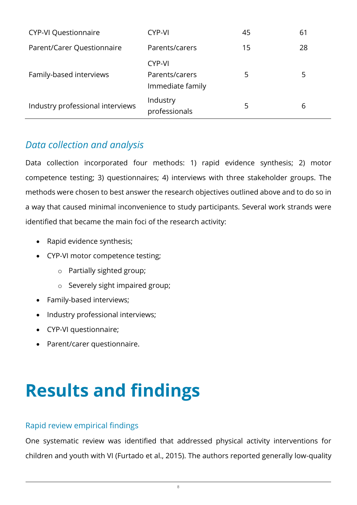| <b>CYP-VI Questionnaire</b>      | CYP-VI                                       | 45 | 61 |
|----------------------------------|----------------------------------------------|----|----|
| Parent/Carer Questionnaire       | Parents/carers                               | 15 | 28 |
| Family-based interviews          | CYP-VI<br>Parents/carers<br>Immediate family | 5  | 5  |
| Industry professional interviews | Industry<br>professionals                    | 5  | 6  |

### <span id="page-8-0"></span>*Data collection and analysis*

Data collection incorporated four methods: 1) rapid evidence synthesis; 2) motor competence testing; 3) questionnaires; 4) interviews with three stakeholder groups. The methods were chosen to best answer the research objectives outlined above and to do so in a way that caused minimal inconvenience to study participants. Several work strands were identified that became the main foci of the research activity:

- Rapid evidence synthesis;
- CYP-VI motor competence testing;
	- o Partially sighted group;
	- o Severely sight impaired group;
- Family-based interviews;
- Industry professional interviews;
- CYP-VI questionnaire;
- Parent/carer questionnaire.

# <span id="page-8-1"></span>**Results and findings**

#### <span id="page-8-2"></span>Rapid review empirical findings

One systematic review was identified that addressed physical activity interventions for children and youth with VI (Furtado et al., 2015). The authors reported generally low-quality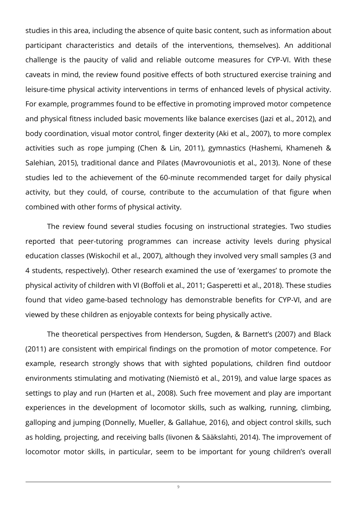studies in this area, including the absence of quite basic content, such as information about participant characteristics and details of the interventions, themselves). An additional challenge is the paucity of valid and reliable outcome measures for CYP-VI. With these caveats in mind, the review found positive effects of both structured exercise training and leisure-time physical activity interventions in terms of enhanced levels of physical activity. For example, programmes found to be effective in promoting improved motor competence and physical fitness included basic movements like balance exercises (Jazi et al., 2012), and body coordination, visual motor control, finger dexterity (Aki et al., 2007), to more complex activities such as rope jumping (Chen & Lin, 2011), gymnastics (Hashemi, Khameneh & Salehian, 2015), traditional dance and Pilates (Mavrovouniotis et al., 2013). None of these studies led to the achievement of the 60-minute recommended target for daily physical activity, but they could, of course, contribute to the accumulation of that figure when combined with other forms of physical activity.

The review found several studies focusing on instructional strategies. Two studies reported that peer-tutoring programmes can increase activity levels during physical education classes (Wiskochil et al., 2007), although they involved very small samples (3 and 4 students, respectively). Other research examined the use of 'exergames' to promote the physical activity of children with VI (Boffoli et al., 2011; Gasperetti et al., 2018). These studies found that video game-based technology has demonstrable benefits for CYP-VI, and are viewed by these children as enjoyable contexts for being physically active.

The theoretical perspectives from Henderson, Sugden, & Barnett's (2007) and Black (2011) are consistent with empirical findings on the promotion of motor competence. For example, research strongly shows that with sighted populations, children find outdoor environments stimulating and motivating (Niemistö et al., 2019), and value large spaces as settings to play and run (Harten et al., 2008). Such free movement and play are important experiences in the development of locomotor skills, such as walking, running, climbing, galloping and jumping (Donnelly, Mueller, & Gallahue, 2016), and object control skills, such as holding, projecting, and receiving balls (Iivonen & Sääkslahti, 2014). The improvement of locomotor motor skills, in particular, seem to be important for young children's overall

9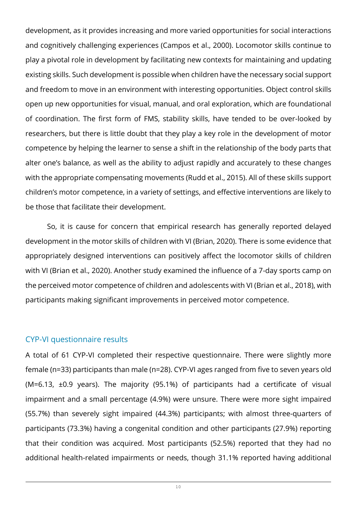development, as it provides increasing and more varied opportunities for social interactions and cognitively challenging experiences (Campos et al., 2000). Locomotor skills continue to play a pivotal role in development by facilitating new contexts for maintaining and updating existing skills. Such development is possible when children have the necessary social support and freedom to move in an environment with interesting opportunities. Object control skills open up new opportunities for visual, manual, and oral exploration, which are foundational of coordination. The first form of FMS, stability skills, have tended to be over-looked by researchers, but there is little doubt that they play a key role in the development of motor competence by helping the learner to sense a shift in the relationship of the body parts that alter one's balance, as well as the ability to adjust rapidly and accurately to these changes with the appropriate compensating movements (Rudd et al., 2015). All of these skills support children's motor competence, in a variety of settings, and effective interventions are likely to be those that facilitate their development.

So, it is cause for concern that empirical research has generally reported delayed development in the motor skills of children with VI (Brian, 2020). There is some evidence that appropriately designed interventions can positively affect the locomotor skills of children with VI (Brian et al., 2020). Another study examined the influence of a 7-day sports camp on the perceived motor competence of children and adolescents with VI (Brian et al., 2018), with participants making significant improvements in perceived motor competence.

#### <span id="page-10-0"></span>CYP-VI questionnaire results

A total of 61 CYP-VI completed their respective questionnaire. There were slightly more female (n=33) participants than male (n=28). CYP-VI ages ranged from five to seven years old (M=6.13, ±0.9 years). The majority (95.1%) of participants had a certificate of visual impairment and a small percentage (4.9%) were unsure. There were more sight impaired (55.7%) than severely sight impaired (44.3%) participants; with almost three-quarters of participants (73.3%) having a congenital condition and other participants (27.9%) reporting that their condition was acquired. Most participants (52.5%) reported that they had no additional health-related impairments or needs, though 31.1% reported having additional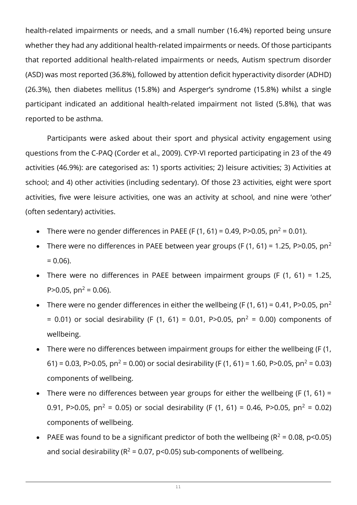health-related impairments or needs, and a small number (16.4%) reported being unsure whether they had any additional health-related impairments or needs. Of those participants that reported additional health-related impairments or needs, Autism spectrum disorder (ASD) was most reported (36.8%), followed by attention deficit hyperactivity disorder (ADHD) (26.3%), then diabetes mellitus (15.8%) and Asperger's syndrome (15.8%) whilst a single participant indicated an additional health-related impairment not listed (5.8%), that was reported to be asthma.

Participants were asked about their sport and physical activity engagement using questions from the C-PAQ (Corder et al., 2009). CYP-VI reported participating in 23 of the 49 activities (46.9%): are categorised as: 1) sports activities; 2) leisure activities; 3) Activities at school; and 4) other activities (including sedentary). Of those 23 activities, eight were sport activities, five were leisure activities, one was an activity at school, and nine were 'other' (often sedentary) activities.

- There were no gender differences in PAEE (F (1, 61) = 0.49, P>0.05, pn<sup>2</sup> = 0.01).
- There were no differences in PAEE between year groups (F  $(1, 61)$  = 1.25, P>0.05, pn<sup>2</sup>  $= 0.06$ ).
- There were no differences in PAEE between impairment groups (F  $(1, 61) = 1.25$ , P > 0.05, pn<sup>2</sup> = 0.06).
- There were no gender differences in either the wellbeing (F (1, 61) = 0.41, P > 0.05, pn<sup>2</sup> = 0.01) or social desirability (F (1, 61) = 0.01, P>0.05,  $pn^2 = 0.00$ ) components of wellbeing.
- There were no differences between impairment groups for either the wellbeing (F (1, 61) = 0.03, P>0.05, pn<sup>2</sup> = 0.00) or social desirability (F (1, 61) = 1.60, P>0.05, pn<sup>2</sup> = 0.03) components of wellbeing.
- There were no differences between year groups for either the wellbeing (F  $(1, 61)$  = 0.91, P>0.05, pn<sup>2</sup> = 0.05) or social desirability (F (1, 61) = 0.46, P>0.05, pn<sup>2</sup> = 0.02) components of wellbeing.
- PAEE was found to be a significant predictor of both the wellbeing ( $R^2$  = 0.08, p<0.05) and social desirability ( $R^2$  = 0.07, p < 0.05) sub-components of wellbeing.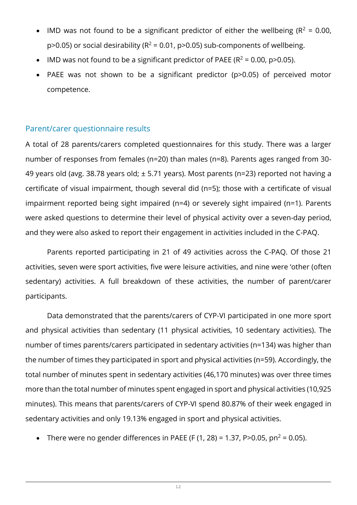- IMD was not found to be a significant predictor of either the wellbeing ( $R^2$  = 0.00,  $p > 0.05$ ) or social desirability ( $R^2 = 0.01$ ,  $p > 0.05$ ) sub-components of wellbeing.
- IMD was not found to be a significant predictor of PAEE ( $R^2$  = 0.00, p>0.05).
- PAEE was not shown to be a significant predictor (p>0.05) of perceived motor competence.

#### <span id="page-12-0"></span>Parent/carer questionnaire results

A total of 28 parents/carers completed questionnaires for this study. There was a larger number of responses from females (n=20) than males (n=8). Parents ages ranged from 30- 49 years old (avg. 38.78 years old; ± 5.71 years). Most parents (n=23) reported not having a certificate of visual impairment, though several did (n=5); those with a certificate of visual impairment reported being sight impaired (n=4) or severely sight impaired (n=1). Parents were asked questions to determine their level of physical activity over a seven-day period, and they were also asked to report their engagement in activities included in the C-PAQ.

Parents reported participating in 21 of 49 activities across the C-PAQ. Of those 21 activities, seven were sport activities, five were leisure activities, and nine were 'other (often sedentary) activities. A full breakdown of these activities, the number of parent/carer participants.

Data demonstrated that the parents/carers of CYP-VI participated in one more sport and physical activities than sedentary (11 physical activities, 10 sedentary activities). The number of times parents/carers participated in sedentary activities (n=134) was higher than the number of times they participated in sport and physical activities (n=59). Accordingly, the total number of minutes spent in sedentary activities (46,170 minutes) was over three times more than the total number of minutes spent engaged in sport and physical activities (10,925 minutes). This means that parents/carers of CYP-VI spend 80.87% of their week engaged in sedentary activities and only 19.13% engaged in sport and physical activities.

There were no gender differences in PAEE (F (1, 28) = 1.37, P > 0.05, pn<sup>2</sup> = 0.05).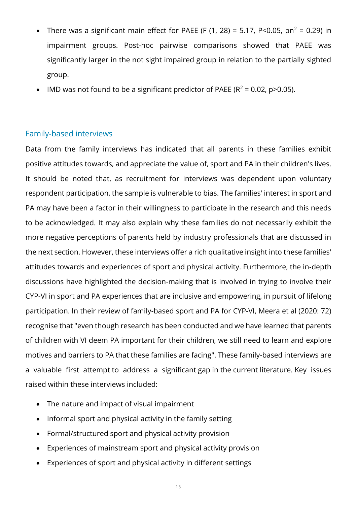- There was a significant main effect for PAEE (F (1, 28) = 5.17, P<0.05,  $pn^2 = 0.29$ ) in impairment groups. Post-hoc pairwise comparisons showed that PAEE was significantly larger in the not sight impaired group in relation to the partially sighted group.
- IMD was not found to be a significant predictor of PAEE ( $R^2$  = 0.02, p>0.05).

#### <span id="page-13-0"></span>Family-based interviews

Data from the family interviews has indicated that all parents in these families exhibit positive attitudes towards, and appreciate the value of, sport and PA in their children's lives. It should be noted that, as recruitment for interviews was dependent upon voluntary respondent participation, the sample is vulnerable to bias. The families' interest in sport and PA may have been a factor in their willingness to participate in the research and this needs to be acknowledged. It may also explain why these families do not necessarily exhibit the more negative perceptions of parents held by industry professionals that are discussed in the next section. However, these interviews offer a rich qualitative insight into these families' attitudes towards and experiences of sport and physical activity. Furthermore, the in-depth discussions have highlighted the decision-making that is involved in trying to involve their CYP-VI in sport and PA experiences that are inclusive and empowering, in pursuit of lifelong participation. In their review of family-based sport and PA for CYP-VI, Meera et al (2020: 72) recognise that "even though research has been conducted and we have learned that parents of children with VI deem PA important for their children, we still need to learn and explore motives and barriers to PA that these families are facing". These family-based interviews are a valuable first attempt to address a significant gap in the current literature. Key issues raised within these interviews included:

- The nature and impact of visual impairment
- Informal sport and physical activity in the family setting
- Formal/structured sport and physical activity provision
- Experiences of mainstream sport and physical activity provision
- Experiences of sport and physical activity in different settings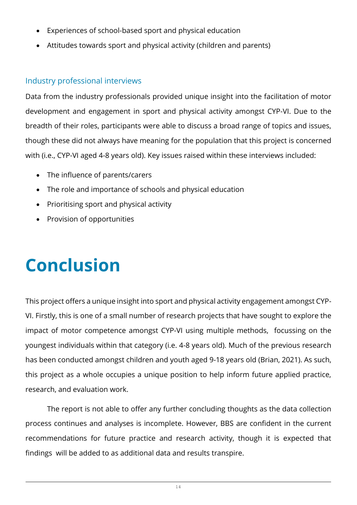- Experiences of school-based sport and physical education
- Attitudes towards sport and physical activity (children and parents)

#### <span id="page-14-0"></span>Industry professional interviews

Data from the industry professionals provided unique insight into the facilitation of motor development and engagement in sport and physical activity amongst CYP-VI. Due to the breadth of their roles, participants were able to discuss a broad range of topics and issues, though these did not always have meaning for the population that this project is concerned with (i.e., CYP-VI aged 4-8 years old). Key issues raised within these interviews included:

- The influence of parents/carers
- The role and importance of schools and physical education
- Prioritising sport and physical activity
- Provision of opportunities

# <span id="page-14-1"></span>**Conclusion**

This project offers a unique insight into sport and physical activity engagement amongst CYP-VI. Firstly, this is one of a small number of research projects that have sought to explore the impact of motor competence amongst CYP-VI using multiple methods, focussing on the youngest individuals within that category (i.e. 4-8 years old). Much of the previous research has been conducted amongst children and youth aged 9-18 years old (Brian, 2021). As such, this project as a whole occupies a unique position to help inform future applied practice, research, and evaluation work.

The report is not able to offer any further concluding thoughts as the data collection process continues and analyses is incomplete. However, BBS are confident in the current recommendations for future practice and research activity, though it is expected that findings will be added to as additional data and results transpire.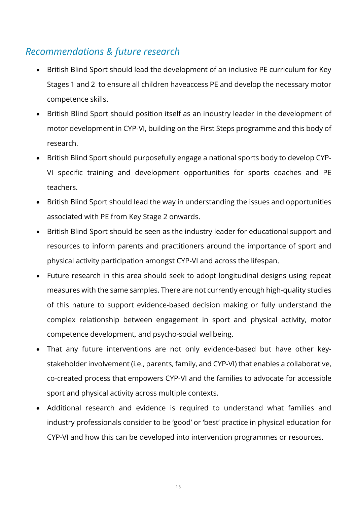### <span id="page-15-0"></span>*Recommendations & future research*

- British Blind Sport should lead the development of an inclusive PE curriculum for Key Stages 1 and 2 to ensure all children haveaccess PE and develop the necessary motor competence skills.
- British Blind Sport should position itself as an industry leader in the development of motor development in CYP-VI, building on the First Steps programme and this body of research.
- British Blind Sport should purposefully engage a national sports body to develop CYP-VI specific training and development opportunities for sports coaches and PE teachers.
- British Blind Sport should lead the way in understanding the issues and opportunities associated with PE from Key Stage 2 onwards.
- British Blind Sport should be seen as the industry leader for educational support and resources to inform parents and practitioners around the importance of sport and physical activity participation amongst CYP-VI and across the lifespan.
- Future research in this area should seek to adopt longitudinal designs using repeat measures with the same samples. There are not currently enough high-quality studies of this nature to support evidence-based decision making or fully understand the complex relationship between engagement in sport and physical activity, motor competence development, and psycho-social wellbeing.
- That any future interventions are not only evidence-based but have other keystakeholder involvement (i.e., parents, family, and CYP-VI) that enables a collaborative, co-created process that empowers CYP-VI and the families to advocate for accessible sport and physical activity across multiple contexts.
- Additional research and evidence is required to understand what families and industry professionals consider to be 'good' or 'best' practice in physical education for CYP-VI and how this can be developed into intervention programmes or resources.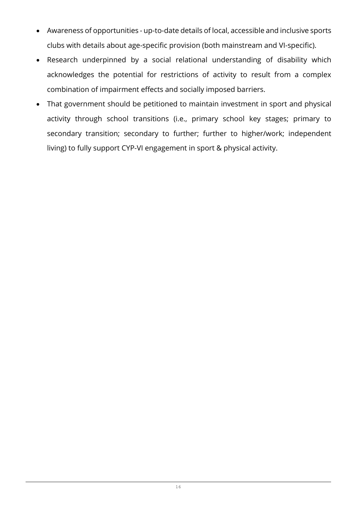- Awareness of opportunities up-to-date details of local, accessible and inclusive sports clubs with details about age-specific provision (both mainstream and VI-specific).
- Research underpinned by a social relational understanding of disability which acknowledges the potential for restrictions of activity to result from a complex combination of impairment effects and socially imposed barriers.
- That government should be petitioned to maintain investment in sport and physical activity through school transitions (i.e., primary school key stages; primary to secondary transition; secondary to further; further to higher/work; independent living) to fully support CYP-VI engagement in sport & physical activity.